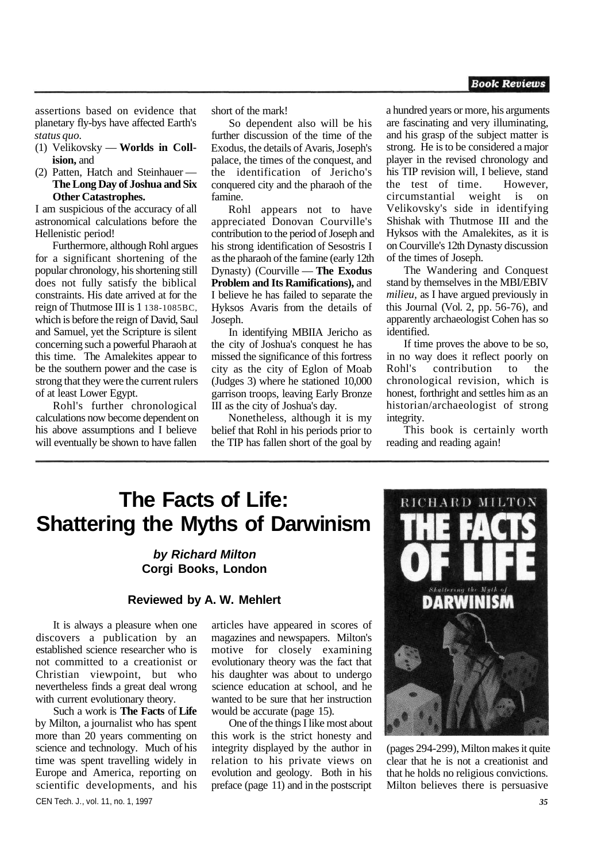### **Book Reviews**

assertions based on evidence that planetary fly-bys have affected Earth's *status quo.* 

- (1) Velikovsky — **Worlds in Collision,** and
- (2) Patten, Hatch and Steinhauer **The Long Day of Joshua and Six Other Catastrophes.**

I am suspicious of the accuracy of all astronomical calculations before the Hellenistic period!

Furthermore, although Rohl argues for a significant shortening of the popular chronology, his shortening still does not fully satisfy the biblical constraints. His date arrived at for the reign of Thutmose III is 1 138-1085BC, which is before the reign of David, Saul and Samuel, yet the Scripture is silent concerning such a powerful Pharaoh at this time. The Amalekites appear to be the southern power and the case is strong that they were the current rulers of at least Lower Egypt.

Rohl's further chronological calculations now become dependent on his above assumptions and I believe will eventually be shown to have fallen

short of the mark!

So dependent also will be his further discussion of the time of the Exodus, the details of Avaris, Joseph's palace, the times of the conquest, and the identification of Jericho's conquered city and the pharaoh of the famine.

Rohl appears not to have appreciated Donovan Courville's contribution to the period of Joseph and his strong identification of Sesostris I as the pharaoh of the famine (early 12th Dynasty) (Courville — **The Exodus Problem and Its Ramifications),** and I believe he has failed to separate the Hyksos Avaris from the details of Joseph.

In identifying MBIIA Jericho as the city of Joshua's conquest he has missed the significance of this fortress city as the city of Eglon of Moab (Judges 3) where he stationed 10,000 garrison troops, leaving Early Bronze III as the city of Joshua's day.

Nonetheless, although it is my belief that Rohl in his periods prior to the TIP has fallen short of the goal by a hundred years or more, his arguments are fascinating and very illuminating, and his grasp of the subject matter is strong. He is to be considered a major player in the revised chronology and his TIP revision will, I believe, stand the test of time. However, circumstantial weight is on Velikovsky's side in identifying Shishak with Thutmose III and the Hyksos with the Amalekites, as it is on Courville's 12th Dynasty discussion of the times of Joseph.

The Wandering and Conquest stand by themselves in the MBI/EBIV *milieu,* as I have argued previously in this Journal (Vol. 2, pp. 56-76), and apparently archaeologist Cohen has so identified.

If time proves the above to be so, in no way does it reflect poorly on Rohl's contribution to the chronological revision, which is honest, forthright and settles him as an historian/archaeologist of strong integrity.

This book is certainly worth reading and reading again!

# **The Facts of Life: Shattering the Myths of Darwinism**

**by Richard Milton Corgi Books, London** 

### **Reviewed by A. W. Mehlert**

It is always a pleasure when one discovers a publication by an established science researcher who is not committed to a creationist or Christian viewpoint, but who nevertheless finds a great deal wrong with current evolutionary theory.

Such a work is **The Facts** of **Life**  by Milton, a journalist who has spent more than 20 years commenting on science and technology. Much of his time was spent travelling widely in Europe and America, reporting on scientific developments, and his CEN Tech. J., vol. 11, no. 1, 1997

articles have appeared in scores of magazines and newspapers. Milton's motive for closely examining evolutionary theory was the fact that his daughter was about to undergo science education at school, and he wanted to be sure that her instruction would be accurate (page 15).

One of the things I like most about this work is the strict honesty and integrity displayed by the author in relation to his private views on evolution and geology. Both in his preface (page 11) and in the postscript



(pages 294-299), Milton makes it quite clear that he is not a creationist and that he holds no religious convictions. Milton believes there is persuasive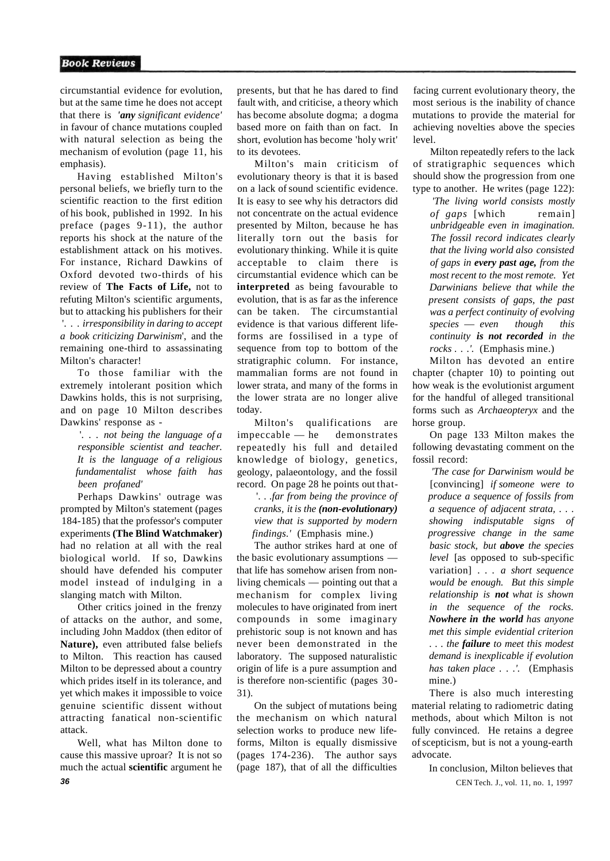circumstantial evidence for evolution, but at the same time he does not accept that there is *'any significant evidence'*  in favour of chance mutations coupled with natural selection as being the mechanism of evolution (page 11, his emphasis).

Having established Milton's personal beliefs, we briefly turn to the scientific reaction to the first edition of his book, published in 1992. In his preface (pages 9-11), the author reports his shock at the nature of the establishment attack on his motives. For instance, Richard Dawkins of Oxford devoted two-thirds of his review of **The Facts of Life,** not to refuting Milton's scientific arguments, but to attacking his publishers for their '. . . *irresponsibility in daring to accept a book criticizing Darwinism*', and the remaining one-third to assassinating Milton's character!

To those familiar with the extremely intolerant position which Dawkins holds, this is not surprising, and on page 10 Milton describes Dawkins' response as -

'. . . *not being the language of a responsible scientist and teacher. It is the language of a religious fundamentalist whose faith has been profaned'* 

Perhaps Dawkins' outrage was prompted by Milton's statement (pages 184-185) that the professor's computer experiments **(The Blind Watchmaker)**  had no relation at all with the real biological world. If so, Dawkins should have defended his computer model instead of indulging in a slanging match with Milton.

Other critics joined in the frenzy of attacks on the author, and some, including John Maddox (then editor of **Nature),** even attributed false beliefs to Milton. This reaction has caused Milton to be depressed about a country which prides itself in its tolerance, and yet which makes it impossible to voice genuine scientific dissent without attracting fanatical non-scientific attack.

Well, what has Milton done to cause this massive uproar? It is not so much the actual **scientific** argument he **36** 

presents, but that he has dared to find fault with, and criticise, a theory which has become absolute dogma; a dogma based more on faith than on fact. In short, evolution has become 'holy writ' to its devotees.

Milton's main criticism of evolutionary theory is that it is based on a lack of sound scientific evidence. It is easy to see why his detractors did not concentrate on the actual evidence presented by Milton, because he has literally torn out the basis for evolutionary thinking. While it is quite acceptable to claim there is circumstantial evidence which can be **interpreted** as being favourable to evolution, that is as far as the inference can be taken. The circumstantial evidence is that various different lifeforms are fossilised in a type of sequence from top to bottom of the stratigraphic column. For instance, mammalian forms are not found in lower strata, and many of the forms in the lower strata are no longer alive today.

Milton's qualifications are impeccable — he demonstrates repeatedly his full and detailed knowledge of biology, genetics, geology, palaeontology, and the fossil record. On page 28 he points out that-

'. . *.far from being the province of cranks, it is the (non-evolutionary) view that is supported by modern findings.'* (Emphasis mine.)

The author strikes hard at one of the basic evolutionary assumptions that life has somehow arisen from nonliving chemicals — pointing out that a mechanism for complex living molecules to have originated from inert compounds in some imaginary prehistoric soup is not known and has never been demonstrated in the laboratory. The supposed naturalistic origin of life is a pure assumption and is therefore non-scientific (pages 30- 31).

On the subject of mutations being the mechanism on which natural selection works to produce new lifeforms, Milton is equally dismissive (pages 174-236). The author says (page 187), that of all the difficulties facing current evolutionary theory, the most serious is the inability of chance mutations to provide the material for achieving novelties above the species level.

Milton repeatedly refers to the lack of stratigraphic sequences which should show the progression from one type to another. He writes (page 122):

*'The living world consists mostly of gaps* [which remain] *unbridgeable even in imagination. The fossil record indicates clearly that the living world also consisted of gaps in every past age, from the most recent to the most remote. Yet Darwinians believe that while the present consists of gaps, the past was a perfect continuity of evolving species* — *even though this continuity is not recorded in the rocks . . .'.* (Emphasis mine.)

Milton has devoted an entire chapter (chapter 10) to pointing out how weak is the evolutionist argument for the handful of alleged transitional forms such as *Archaeopteryx* and the horse group.

On page 133 Milton makes the following devastating comment on the fossil record:

*'The case for Darwinism would be*  [convincing] *if someone were to produce a sequence of fossils from a sequence of adjacent strata, . . . showing indisputable signs of progressive change in the same basic stock, but above the species level* [as opposed to sub-specific variation] *. . . a short sequence would be enough. But this simple relationship is not what is shown in the sequence of the rocks. Nowhere in the world has anyone met this simple evidential criterion . . . the failure to meet this modest demand is inexplicable if evolution has taken place . . .'.* (Emphasis mine.)

There is also much interesting material relating to radiometric dating methods, about which Milton is not fully convinced. He retains a degree of scepticism, but is not a young-earth advocate.

> In conclusion, Milton believes that CEN Tech. J., vol. 11, no. 1, 1997